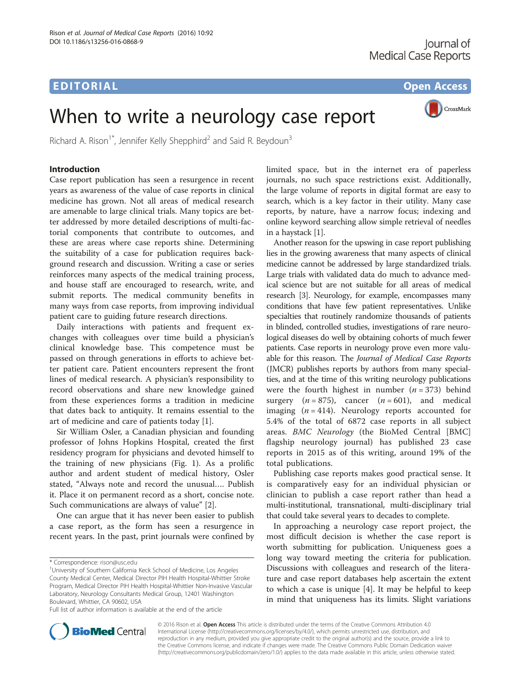## EDITORIAL CONTRACT CONTRACT CONTRACT CONTRACT CONTRACT CONTRACT CONTRACT CONTRACT CONTRACT CONTRACT CONTRACT CO

CrossMark

# When to write a neurology case report

Richard A. Rison<sup>1\*</sup>, Jennifer Kelly Shepphird<sup>2</sup> and Said R. Beydoun<sup>3</sup>

### Introduction

Case report publication has seen a resurgence in recent years as awareness of the value of case reports in clinical medicine has grown. Not all areas of medical research are amenable to large clinical trials. Many topics are better addressed by more detailed descriptions of multi-factorial components that contribute to outcomes, and these are areas where case reports shine. Determining the suitability of a case for publication requires background research and discussion. Writing a case or series reinforces many aspects of the medical training process, and house staff are encouraged to research, write, and submit reports. The medical community benefits in many ways from case reports, from improving individual patient care to guiding future research directions.

Daily interactions with patients and frequent exchanges with colleagues over time build a physician's clinical knowledge base. This competence must be passed on through generations in efforts to achieve better patient care. Patient encounters represent the front lines of medical research. A physician's responsibility to record observations and share new knowledge gained from these experiences forms a tradition in medicine that dates back to antiquity. It remains essential to the art of medicine and care of patients today [\[1](#page-3-0)].

Sir William Osler, a Canadian physician and founding professor of Johns Hopkins Hospital, created the first residency program for physicians and devoted himself to the training of new physicians (Fig. [1](#page-1-0)). As a prolific author and ardent student of medical history, Osler stated, "Always note and record the unusual…. Publish it. Place it on permanent record as a short, concise note. Such communications are always of value" [\[2](#page-3-0)].

One can argue that it has never been easier to publish a case report, as the form has seen a resurgence in recent years. In the past, print journals were confined by

Full list of author information is available at the end of the article

limited space, but in the internet era of paperless journals, no such space restrictions exist. Additionally, the large volume of reports in digital format are easy to search, which is a key factor in their utility. Many case reports, by nature, have a narrow focus; indexing and online keyword searching allow simple retrieval of needles in a haystack [[1\]](#page-3-0).

Another reason for the upswing in case report publishing lies in the growing awareness that many aspects of clinical medicine cannot be addressed by large standardized trials. Large trials with validated data do much to advance medical science but are not suitable for all areas of medical research [[3\]](#page-3-0). Neurology, for example, encompasses many conditions that have few patient representatives. Unlike specialties that routinely randomize thousands of patients in blinded, controlled studies, investigations of rare neurological diseases do well by obtaining cohorts of much fewer patients. Case reports in neurology prove even more valuable for this reason. The Journal of Medical Case Reports (JMCR) publishes reports by authors from many specialties, and at the time of this writing neurology publications were the fourth highest in number  $(n = 373)$  behind surgery  $(n = 875)$ , cancer  $(n = 601)$ , and medical imaging  $(n = 414)$ . Neurology reports accounted for 5.4% of the total of 6872 case reports in all subject areas. BMC Neurology (the BioMed Central [BMC] flagship neurology journal) has published 23 case reports in 2015 as of this writing, around 19% of the total publications.

Publishing case reports makes good practical sense. It is comparatively easy for an individual physician or clinician to publish a case report rather than head a multi-institutional, transnational, multi-disciplinary trial that could take several years to decades to complete.

In approaching a neurology case report project, the most difficult decision is whether the case report is worth submitting for publication. Uniqueness goes a long way toward meeting the criteria for publication. Discussions with colleagues and research of the literature and case report databases help ascertain the extent to which a case is unique [\[4](#page-3-0)]. It may be helpful to keep in mind that uniqueness has its limits. Slight variations



© 2016 Rison et al. Open Access This article is distributed under the terms of the Creative Commons Attribution 4.0 International License [\(http://creativecommons.org/licenses/by/4.0/](http://creativecommons.org/licenses/by/4.0/)), which permits unrestricted use, distribution, and reproduction in any medium, provided you give appropriate credit to the original author(s) and the source, provide a link to the Creative Commons license, and indicate if changes were made. The Creative Commons Public Domain Dedication waiver [\(http://creativecommons.org/publicdomain/zero/1.0/](http://creativecommons.org/publicdomain/zero/1.0/)) applies to the data made available in this article, unless otherwise stated.

<sup>\*</sup> Correspondence: [rison@usc.edu](mailto:rison@usc.edu) <sup>1</sup>

University of Southern California Keck School of Medicine, Los Angeles County Medical Center, Medical Director PIH Health Hospital-Whittier Stroke Program, Medical Director PIH Health Hospital-Whittier Non-Invasive Vascular Laboratory, Neurology Consultants Medical Group, 12401 Washington Boulevard, Whittier, CA 90602, USA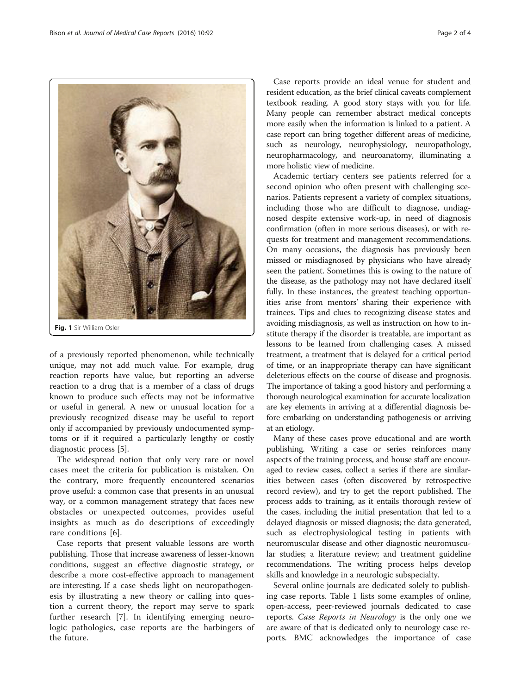<span id="page-1-0"></span>

of a previously reported phenomenon, while technically unique, may not add much value. For example, drug reaction reports have value, but reporting an adverse reaction to a drug that is a member of a class of drugs known to produce such effects may not be informative or useful in general. A new or unusual location for a previously recognized disease may be useful to report only if accompanied by previously undocumented symptoms or if it required a particularly lengthy or costly diagnostic process [\[5](#page-3-0)].

The widespread notion that only very rare or novel cases meet the criteria for publication is mistaken. On the contrary, more frequently encountered scenarios prove useful: a common case that presents in an unusual way, or a common management strategy that faces new obstacles or unexpected outcomes, provides useful insights as much as do descriptions of exceedingly rare conditions [[6\]](#page-3-0).

Case reports that present valuable lessons are worth publishing. Those that increase awareness of lesser-known conditions, suggest an effective diagnostic strategy, or describe a more cost-effective approach to management are interesting. If a case sheds light on neuropathogenesis by illustrating a new theory or calling into question a current theory, the report may serve to spark further research [[7\]](#page-3-0). In identifying emerging neurologic pathologies, case reports are the harbingers of the future.

Case reports provide an ideal venue for student and resident education, as the brief clinical caveats complement textbook reading. A good story stays with you for life. Many people can remember abstract medical concepts more easily when the information is linked to a patient. A case report can bring together different areas of medicine, such as neurology, neurophysiology, neuropathology, neuropharmacology, and neuroanatomy, illuminating a more holistic view of medicine.

Academic tertiary centers see patients referred for a second opinion who often present with challenging scenarios. Patients represent a variety of complex situations, including those who are difficult to diagnose, undiagnosed despite extensive work-up, in need of diagnosis confirmation (often in more serious diseases), or with requests for treatment and management recommendations. On many occasions, the diagnosis has previously been missed or misdiagnosed by physicians who have already seen the patient. Sometimes this is owing to the nature of the disease, as the pathology may not have declared itself fully. In these instances, the greatest teaching opportunities arise from mentors' sharing their experience with trainees. Tips and clues to recognizing disease states and avoiding misdiagnosis, as well as instruction on how to institute therapy if the disorder is treatable, are important as lessons to be learned from challenging cases. A missed treatment, a treatment that is delayed for a critical period of time, or an inappropriate therapy can have significant deleterious effects on the course of disease and prognosis. The importance of taking a good history and performing a thorough neurological examination for accurate localization are key elements in arriving at a differential diagnosis before embarking on understanding pathogenesis or arriving at an etiology.

Many of these cases prove educational and are worth publishing. Writing a case or series reinforces many aspects of the training process, and house staff are encouraged to review cases, collect a series if there are similarities between cases (often discovered by retrospective record review), and try to get the report published. The process adds to training, as it entails thorough review of the cases, including the initial presentation that led to a delayed diagnosis or missed diagnosis; the data generated, such as electrophysiological testing in patients with neuromuscular disease and other diagnostic neuromuscular studies; a literature review; and treatment guideline recommendations. The writing process helps develop skills and knowledge in a neurologic subspecialty.

Several online journals are dedicated solely to publishing case reports. Table [1](#page-2-0) lists some examples of online, open-access, peer-reviewed journals dedicated to case reports. Case Reports in Neurology is the only one we are aware of that is dedicated only to neurology case reports. BMC acknowledges the importance of case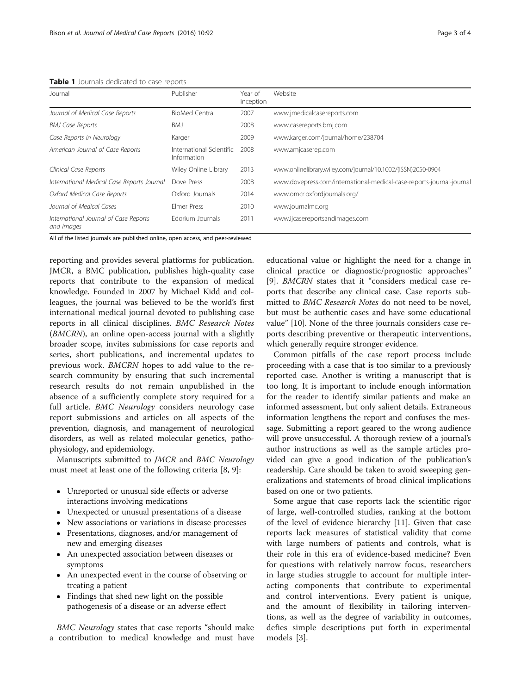<span id="page-2-0"></span>Table 1 Journals dedicated to case reports

| Journal                                             | Publisher                               | Year of<br>inception | Website                                                              |
|-----------------------------------------------------|-----------------------------------------|----------------------|----------------------------------------------------------------------|
| Journal of Medical Case Reports                     | <b>BioMed Central</b>                   | 2007                 | www.jmedicalcasereports.com                                          |
| <b>BMJ Case Reports</b>                             | <b>BMJ</b>                              | 2008                 | www.casereports.bmj.com                                              |
| Case Reports in Neurology                           | Karger                                  | 2009                 | www.karger.com/journal/home/238704                                   |
| American Journal of Case Reports                    | International Scientific<br>Information | 2008                 | www.amjcaserep.com                                                   |
| Clinical Case Reports                               | Wiley Online Library                    | 2013                 | www.onlinelibrary.wiley.com/journal/10.1002/(ISSN)2050-0904          |
| International Medical Case Reports Journal          | Dove Press                              | 2008                 | www.dovepress.com/international-medical-case-reports-journal-journal |
| Oxford Medical Case Reports                         | Oxford Journals                         | 2014                 | www.omcr.oxfordjournals.org/                                         |
| Journal of Medical Cases                            | Elmer Press                             | 2010                 | www.journalmc.org                                                    |
| International Journal of Case Reports<br>and Images | Edorium Journals                        | 2011                 | www.ijcasereportsandimages.com                                       |

All of the listed journals are published online, open access, and peer-reviewed

reporting and provides several platforms for publication. JMCR, a BMC publication, publishes high-quality case reports that contribute to the expansion of medical knowledge. Founded in 2007 by Michael Kidd and colleagues, the journal was believed to be the world's first international medical journal devoted to publishing case reports in all clinical disciplines. BMC Research Notes (BMCRN), an online open-access journal with a slightly broader scope, invites submissions for case reports and series, short publications, and incremental updates to previous work. BMCRN hopes to add value to the research community by ensuring that such incremental research results do not remain unpublished in the absence of a sufficiently complete story required for a full article. BMC Neurology considers neurology case report submissions and articles on all aspects of the prevention, diagnosis, and management of neurological disorders, as well as related molecular genetics, pathophysiology, and epidemiology.

Manuscripts submitted to JMCR and BMC Neurology must meet at least one of the following criteria [\[8](#page-3-0), [9](#page-3-0)]:

- Unreported or unusual side effects or adverse interactions involving medications
- Unexpected or unusual presentations of a disease
- New associations or variations in disease processes
- Presentations, diagnoses, and/or management of new and emerging diseases
- An unexpected association between diseases or symptoms
- An unexpected event in the course of observing or treating a patient
- Findings that shed new light on the possible pathogenesis of a disease or an adverse effect

BMC Neurology states that case reports "should make a contribution to medical knowledge and must have educational value or highlight the need for a change in clinical practice or diagnostic/prognostic approaches" [[9\]](#page-3-0). BMCRN states that it "considers medical case reports that describe any clinical case. Case reports submitted to BMC Research Notes do not need to be novel, but must be authentic cases and have some educational value" [[10](#page-3-0)]. None of the three journals considers case reports describing preventive or therapeutic interventions, which generally require stronger evidence.

Common pitfalls of the case report process include proceeding with a case that is too similar to a previously reported case. Another is writing a manuscript that is too long. It is important to include enough information for the reader to identify similar patients and make an informed assessment, but only salient details. Extraneous information lengthens the report and confuses the message. Submitting a report geared to the wrong audience will prove unsuccessful. A thorough review of a journal's author instructions as well as the sample articles provided can give a good indication of the publication's readership. Care should be taken to avoid sweeping generalizations and statements of broad clinical implications based on one or two patients.

Some argue that case reports lack the scientific rigor of large, well-controlled studies, ranking at the bottom of the level of evidence hierarchy [[11\]](#page-3-0). Given that case reports lack measures of statistical validity that come with large numbers of patients and controls, what is their role in this era of evidence-based medicine? Even for questions with relatively narrow focus, researchers in large studies struggle to account for multiple interacting components that contribute to experimental and control interventions. Every patient is unique, and the amount of flexibility in tailoring interventions, as well as the degree of variability in outcomes, defies simple descriptions put forth in experimental models [[3\]](#page-3-0).